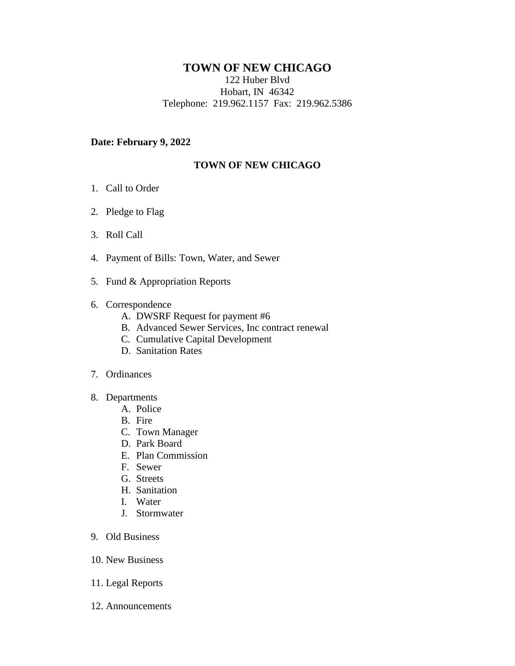## **TOWN OF NEW CHICAGO**

122 Huber Blvd Hobart, IN 46342 Telephone: 219.962.1157 Fax: 219.962.5386

## **Date: February 9, 2022**

## **TOWN OF NEW CHICAGO**

- 1. Call to Order
- 2. Pledge to Flag
- 3. Roll Call
- 4. Payment of Bills: Town, Water, and Sewer
- 5. Fund & Appropriation Reports
- 6. Correspondence
	- A. DWSRF Request for payment #6
	- B. Advanced Sewer Services, Inc contract renewal
	- C. Cumulative Capital Development
	- D. Sanitation Rates

## 7. Ordinances

- 8. Departments
	- A. Police
	- B. Fire
	- C. Town Manager
	- D. Park Board
	- E. Plan Commission
	- F. Sewer
	- G. Streets
	- H. Sanitation
	- I. Water
	- J. Stormwater
- 9. Old Business
- 10. New Business
- 11. Legal Reports
- 12. Announcements